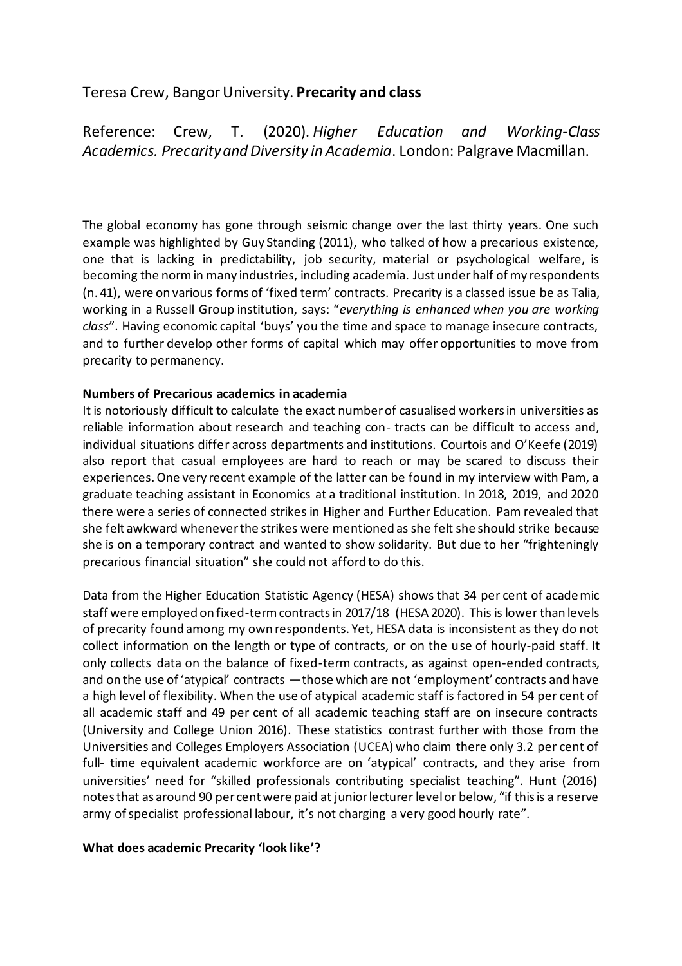# Teresa Crew, Bangor University. **Precarity and class**

Reference: Crew, T. (2020). *Higher Education and Working-Class Academics. Precarity and Diversity in Academia*. London: Palgrave Macmillan.

The global economy has gone through seismic change over the last thirty years. One such example was highlighted by Guy Standing (2011), who talked of how a precarious existence, one that is lacking in predictability, job security, material or psychological welfare, is becoming the norm in many industries, including academia. Just under half of my respondents (n. 41), were on various forms of 'fixed term' contracts. Precarity is a classed issue be as Talia, working in a Russell Group institution, says: "*everything is enhanced when you are working class*". Having economic capital 'buys' you the time and space to manage insecure contracts, and to further develop other forms of capital which may offer opportunities to move from precarity to permanency.

### **Numbers of Precarious academics in academia**

It is notoriously difficult to calculate the exact number of casualised workers in universities as reliable information about research and teaching con- tracts can be difficult to access and, individual situations differ across departments and institutions. Courtois and O'Keefe (2019) also report that casual employees are hard to reach or may be scared to discuss their experiences. One very recent example of the latter can be found in my interview with Pam, a graduate teaching assistant in Economics at a traditional institution. In 2018, 2019, and 2020 there were a series of connected strikes in Higher and Further Education. Pam revealed that she felt awkward whenever the strikes were mentioned as she felt she should strike because she is on a temporary contract and wanted to show solidarity. But due to her "frighteningly precarious financial situation" she could not afford to do this.

Data from the Higher Education Statistic Agency (HESA) shows that 34 per cent of academic staff were employed on fixed-term contracts in 2017/18 (HESA 2020). This is lower than levels of precarity found among my own respondents. Yet, HESA data is inconsistent as they do not collect information on the length or type of contracts, or on the use of hourly-paid staff. It only collects data on the balance of fixed-term contracts, as against open-ended contracts, and on the use of 'atypical' contracts —those which are not 'employment' contracts and have a high level of flexibility. When the use of atypical academic staff is factored in 54 per cent of all academic staff and 49 per cent of all academic teaching staff are on insecure contracts (University and College Union 2016). These statistics contrast further with those from the Universities and Colleges Employers Association (UCEA) who claim there only 3.2 per cent of full- time equivalent academic workforce are on 'atypical' contracts, and they arise from universities' need for "skilled professionals contributing specialist teaching". Hunt (2016) notes that as around 90 per cent were paid at junior lecturer level or below, "if this is a reserve army of specialist professional labour, it's not charging a very good hourly rate".

### **What does academic Precarity 'look like'?**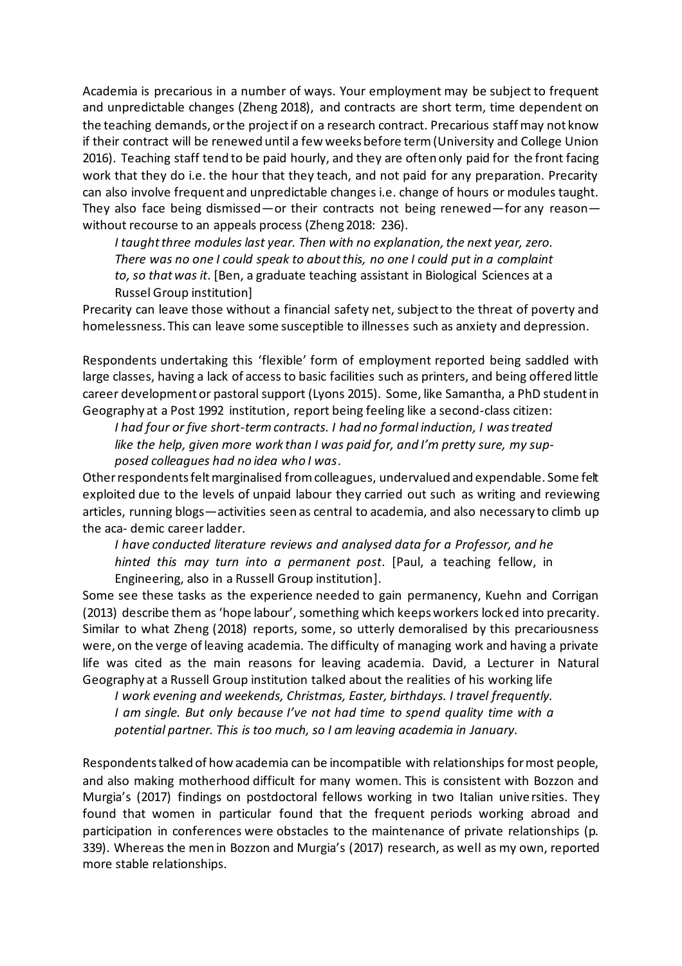Academia is precarious in a number of ways. Your employment may be subject to frequent and unpredictable changes (Zheng 2018), and contracts are short term, time dependent on the teaching demands, or the project if on a research contract. Precarious staff may not know if their contract will be renewed until a few weeks before term (University and College Union 2016). Teaching staff tend to be paid hourly, and they are often only paid for the front facing work that they do i.e. the hour that they teach, and not paid for any preparation. Precarity can also involve frequent and unpredictable changes i.e. change of hours or modules taught. They also face being dismissed—or their contracts not being renewed—for any reason without recourse to an appeals process (Zheng 2018: 236).

*I taught three modules last year. Then with no explanation, the next year, zero. There was no one I could speak to about this, no one I could put in a complaint to, so that was it*. [Ben, a graduate teaching assistant in Biological Sciences at a Russel Group institution]

Precarity can leave those without a financial safety net, subject to the threat of poverty and homelessness. This can leave some susceptible to illnesses such as anxiety and depression.

Respondents undertaking this 'flexible' form of employment reported being saddled with large classes, having a lack of access to basic facilities such as printers, and being offered little career development or pastoral support (Lyons 2015). Some, like Samantha, a PhD student in Geography at a Post 1992 institution, report being feeling like a second-class citizen:

*I had four or five short-term contracts. I had no formal induction, I was treated like the help, given more work than I was paid for, and I'm pretty sure, my supposed colleagues had no idea who I was*.

Other respondents felt marginalised from colleagues, undervalued and expendable. Some felt exploited due to the levels of unpaid labour they carried out such as writing and reviewing articles, running blogs—activities seen as central to academia, and also necessary to climb up the aca- demic career ladder.

*I have conducted literature reviews and analysed data for a Professor, and he hinted this may turn into a permanent post*. [Paul, a teaching fellow, in Engineering, also in a Russell Group institution].

Some see these tasks as the experience needed to gain permanency, Kuehn and Corrigan (2013) describe them as 'hope labour', something which keeps workers locked into precarity. Similar to what Zheng (2018) reports, some, so utterly demoralised by this precariousness were, on the verge of leaving academia. The difficulty of managing work and having a private life was cited as the main reasons for leaving academia. David, a Lecturer in Natural Geography at a Russell Group institution talked about the realities of his working life

*I work evening and weekends, Christmas, Easter, birthdays. I travel frequently. I am single. But only because I've not had time to spend quality time with a potential partner. This is too much, so I am leaving academia in January.* 

Respondents talked of how academia can be incompatible with relationships for most people, and also making motherhood difficult for many women. This is consistent with Bozzon and Murgia's (2017) findings on postdoctoral fellows working in two Italian unive rsities. They found that women in particular found that the frequent periods working abroad and participation in conferences were obstacles to the maintenance of private relationships (p. 339). Whereas the men in Bozzon and Murgia's (2017) research, as well as my own, reported more stable relationships.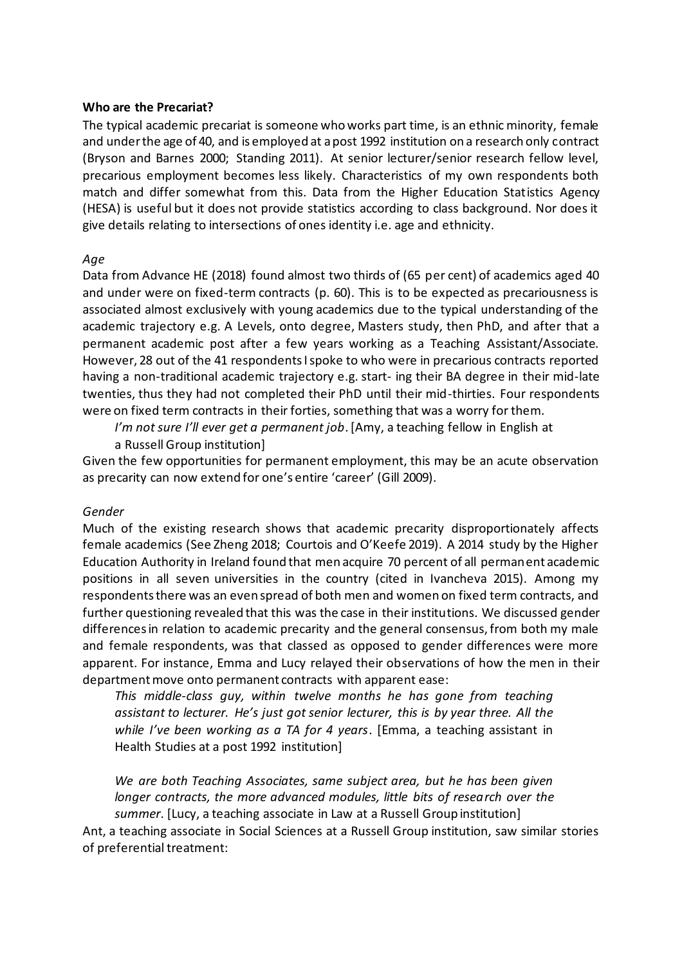#### **Who are the Precariat?**

The typical academic precariat is someone who works part time, is an ethnic minority, female and under the age of 40, and is employed at a post 1992 institution on a research only contract (Bryson and Barnes 2000; Standing 2011). At senior lecturer/senior research fellow level, precarious employment becomes less likely. Characteristics of my own respondents both match and differ somewhat from this. Data from the Higher Education Statistics Agency (HESA) is useful but it does not provide statistics according to class background. Nor does it give details relating to intersections of ones identity i.e. age and ethnicity.

#### *Age*

Data from Advance HE (2018) found almost two thirds of (65 per cent) of academics aged 40 and under were on fixed-term contracts (p. 60). This is to be expected as precariousness is associated almost exclusively with young academics due to the typical understanding of the academic trajectory e.g. A Levels, onto degree, Masters study, then PhD, and after that a permanent academic post after a few years working as a Teaching Assistant/Associate. However, 28 out of the 41 respondents I spoke to who were in precarious contracts reported having a non-traditional academic trajectory e.g. start- ing their BA degree in their mid-late twenties, thus they had not completed their PhD until their mid-thirties. Four respondents were on fixed term contracts in their forties, something that was a worry for them.

*I'm not sure I'll ever get a permanent job*. [Amy, a teaching fellow in English at

### a Russell Group institution]

Given the few opportunities for permanent employment, this may be an acute observation as precarity can now extend for one's entire 'career' (Gill 2009).

### *Gender*

Much of the existing research shows that academic precarity disproportionately affects female academics (See Zheng 2018; Courtois and O'Keefe 2019). A 2014 study by the Higher Education Authority in Ireland found that men acquire 70 percent of all permanent academic positions in all seven universities in the country (cited in Ivancheva 2015). Among my respondents there was an even spread of both men and women on fixed term contracts, and further questioning revealed that this was the case in their institutions. We discussed gender differences in relation to academic precarity and the general consensus, from both my male and female respondents, was that classed as opposed to gender differences were more apparent. For instance, Emma and Lucy relayed their observations of how the men in their department move onto permanent contracts with apparent ease:

*This middle-class guy, within twelve months he has gone from teaching assistant to lecturer. He's just got senior lecturer, this is by year three. All the while I've been working as a TA for 4 years*. [Emma, a teaching assistant in Health Studies at a post 1992 institution]

*We are both Teaching Associates, same subject area, but he has been given longer contracts, the more advanced modules, little bits of research over the summer*. [Lucy, a teaching associate in Law at a Russell Group institution]

Ant, a teaching associate in Social Sciences at a Russell Group institution, saw similar stories of preferential treatment: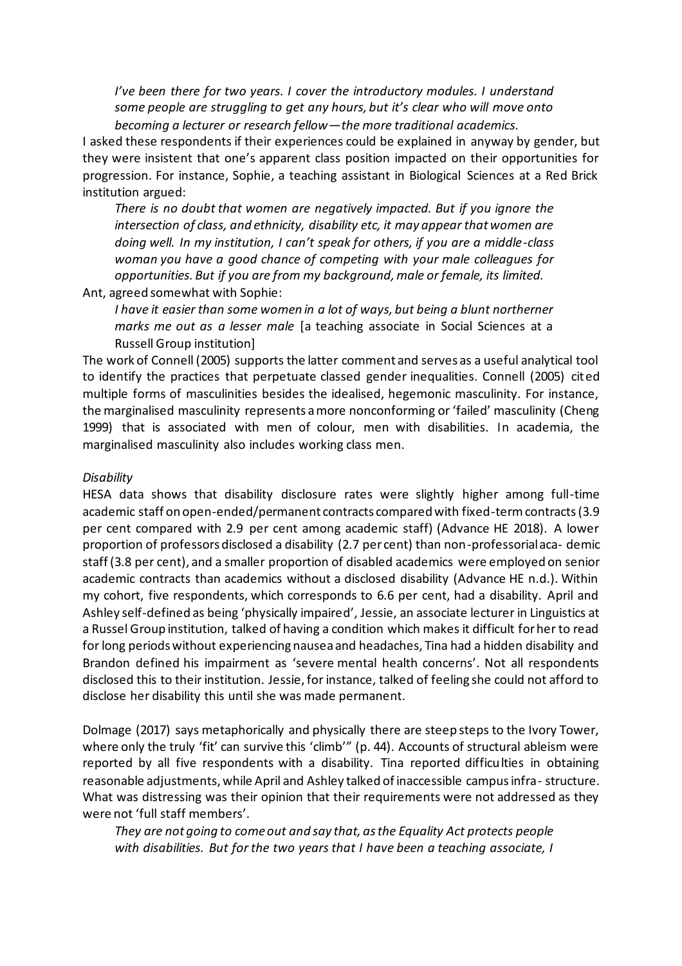*I've been there for two years. I cover the introductory modules. I understand some people are struggling to get any hours, but it's clear who will move onto becoming a lecturer or research fellow—the more traditional academics.* 

I asked these respondents if their experiences could be explained in anyway by gender, but they were insistent that one's apparent class position impacted on their opportunities for progression. For instance, Sophie, a teaching assistant in Biological Sciences at a Red Brick institution argued:

*There is no doubt that women are negatively impacted. But if you ignore the intersection of class, and ethnicity, disability etc, it may appear that women are doing well. In my institution, I can't speak for others, if you are a middle-class woman you have a good chance of competing with your male colleagues for opportunities. But if you are from my background, male or female, its limited.* 

Ant, agreed somewhat with Sophie:

*I have it easier than some women in a lot of ways, but being a blunt northerner marks me out as a lesser male* [a teaching associate in Social Sciences at a Russell Group institution]

The work of Connell (2005) supports the latter comment and serves as a useful analytical tool to identify the practices that perpetuate classed gender inequalities. Connell (2005) cited multiple forms of masculinities besides the idealised, hegemonic masculinity. For instance, the marginalised masculinity represents a more nonconforming or 'failed' masculinity (Cheng 1999) that is associated with men of colour, men with disabilities. In academia, the marginalised masculinity also includes working class men.

#### *Disability*

HESA data shows that disability disclosure rates were slightly higher among full-time academic staff on open-ended/permanent contracts compared with fixed-term contracts (3.9 per cent compared with 2.9 per cent among academic staff) (Advance HE 2018). A lower proportion of professors disclosed a disability (2.7 per cent) than non-professorial aca- demic staff (3.8 per cent), and a smaller proportion of disabled academics were employed on senior academic contracts than academics without a disclosed disability (Advance HE n.d.). Within my cohort, five respondents, which corresponds to 6.6 per cent, had a disability. April and Ashley self-defined as being 'physically impaired', Jessie, an associate lecturer in Linguistics at a Russel Group institution, talked of having a condition which makes it difficult for her to read for long periods without experiencing nausea and headaches, Tina had a hidden disability and Brandon defined his impairment as 'severe mental health concerns'. Not all respondents disclosed this to their institution. Jessie, for instance, talked of feeling she could not afford to disclose her disability this until she was made permanent.

Dolmage (2017) says metaphorically and physically there are steep steps to the Ivory Tower, where only the truly 'fit' can survive this 'climb'" (p. 44). Accounts of structural ableism were reported by all five respondents with a disability. Tina reported difficulties in obtaining reasonable adjustments, while April and Ashley talked of inaccessible campus infra- structure. What was distressing was their opinion that their requirements were not addressed as they were not 'full staff members'.

*They are not going to come out and say that, as the Equality Act protects people with disabilities. But for the two years that I have been a teaching associate, I*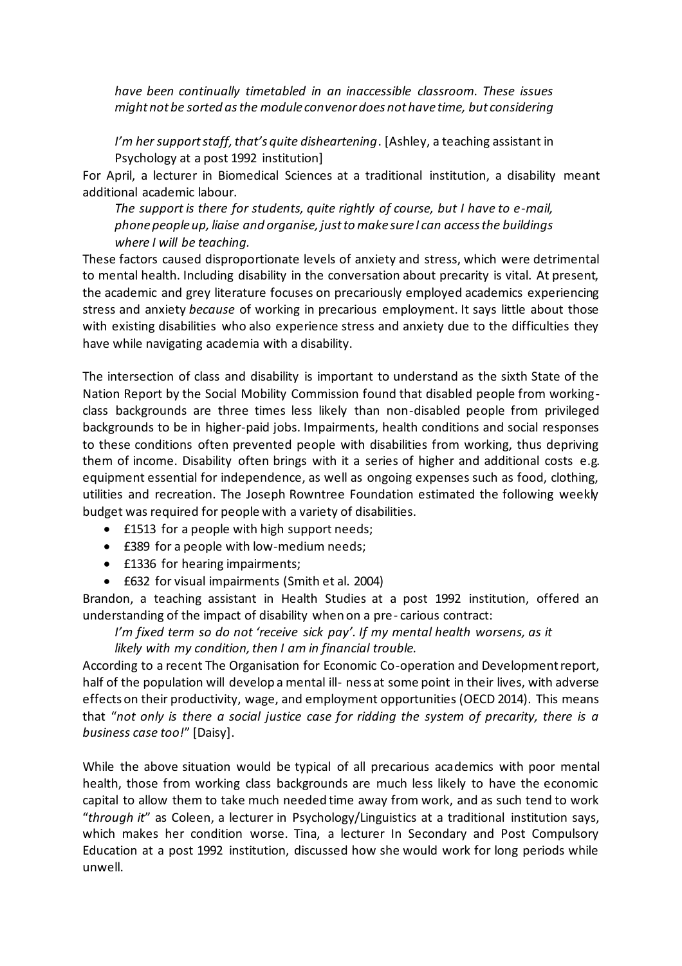*have been continually timetabled in an inaccessible classroom. These issues might not be sorted as the module convenor does not have time, but considering* 

*I'm her support staff, that's quite disheartening*. [Ashley, a teaching assistant in Psychology at a post 1992 institution]

For April, a lecturer in Biomedical Sciences at a traditional institution, a disability meant additional academic labour.

*The support is there for students, quite rightly of course, but I have to e-mail, phone people up, liaise and organise, just to make sure I can access the buildings where I will be teaching.* 

These factors caused disproportionate levels of anxiety and stress, which were detrimental to mental health. Including disability in the conversation about precarity is vital. At present, the academic and grey literature focuses on precariously employed academics experiencing stress and anxiety *because* of working in precarious employment. It says little about those with existing disabilities who also experience stress and anxiety due to the difficulties they have while navigating academia with a disability.

The intersection of class and disability is important to understand as the sixth State of the Nation Report by the Social Mobility Commission found that disabled people from workingclass backgrounds are three times less likely than non-disabled people from privileged backgrounds to be in higher-paid jobs. Impairments, health conditions and social responses to these conditions often prevented people with disabilities from working, thus depriving them of income. Disability often brings with it a series of higher and additional costs e.g. equipment essential for independence, as well as ongoing expenses such as food, clothing, utilities and recreation. The Joseph Rowntree Foundation estimated the following weekly budget was required for people with a variety of disabilities.

- £1513 for a people with high support needs;
- £389 for a people with low-medium needs;
- £1336 for hearing impairments;
- £632 for visual impairments (Smith et al. 2004)

Brandon, a teaching assistant in Health Studies at a post 1992 institution, offered an understanding of the impact of disability when on a pre- carious contract:

*I'm fixed term so do not 'receive sick pay'. If my mental health worsens, as it likely with my condition, then I am in financial trouble.* 

According to a recent The Organisation for Economic Co-operation and Development report, half of the population will develop a mental ill- ness at some point in their lives, with adverse effects on their productivity, wage, and employment opportunities (OECD 2014). This means that "*not only is there a social justice case for ridding the system of precarity, there is a business case too!*" [Daisy].

While the above situation would be typical of all precarious academics with poor mental health, those from working class backgrounds are much less likely to have the economic capital to allow them to take much needed time away from work, and as such tend to work "*through it*" as Coleen, a lecturer in Psychology/Linguistics at a traditional institution says, which makes her condition worse. Tina, a lecturer In Secondary and Post Compulsory Education at a post 1992 institution, discussed how she would work for long periods while unwell.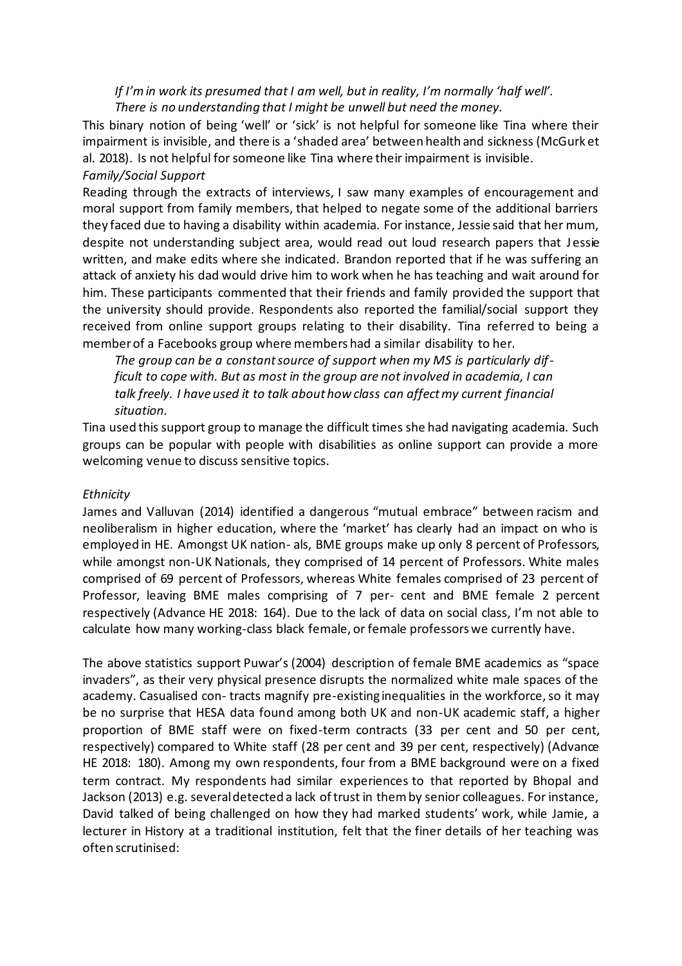# *If I'm in work its presumed that I am well, but in reality, I'm normally 'half well'. There is no understanding that I might be unwell but need the money.*

This binary notion of being 'well' or 'sick' is not helpful for someone like Tina where their impairment is invisible, and there is a 'shaded area' between health and sickness (McGurk et al. 2018). Is not helpful for someone like Tina where their impairment is invisible.

# *Family/Social Support*

Reading through the extracts of interviews, I saw many examples of encouragement and moral support from family members, that helped to negate some of the additional barriers they faced due to having a disability within academia. For instance, Jessie said that her mum, despite not understanding subject area, would read out loud research papers that J essie written, and make edits where she indicated. Brandon reported that if he was suffering an attack of anxiety his dad would drive him to work when he has teaching and wait around for him. These participants commented that their friends and family provided the support that the university should provide. Respondents also reported the familial/social support they received from online support groups relating to their disability. Tina referred to being a member of a Facebooks group where members had a similar disability to her.

*The group can be a constant source of support when my MS is particularly difficult to cope with. But as most in the group are not involved in academia, I can talk freely. I have used it to talk about how class can affect my current financial situation.* 

Tina used this support group to manage the difficult times she had navigating academia. Such groups can be popular with people with disabilities as online support can provide a more welcoming venue to discuss sensitive topics.

# *Ethnicity*

James and Valluvan (2014) identified a dangerous "mutual embrace" between racism and neoliberalism in higher education, where the 'market' has clearly had an impact on who is employed in HE. Amongst UK nation- als, BME groups make up only 8 percent of Professors, while amongst non-UK Nationals, they comprised of 14 percent of Professors. White males comprised of 69 percent of Professors, whereas White females comprised of 23 percent of Professor, leaving BME males comprising of 7 per- cent and BME female 2 percent respectively (Advance HE 2018: 164). Due to the lack of data on social class, I'm not able to calculate how many working-class black female, or female professors we currently have.

The above statistics support Puwar's (2004) description of female BME academics as "space invaders", as their very physical presence disrupts the normalized white male spaces of the academy. Casualised con- tracts magnify pre-existing inequalities in the workforce, so it may be no surprise that HESA data found among both UK and non-UK academic staff, a higher proportion of BME staff were on fixed-term contracts (33 per cent and 50 per cent, respectively) compared to White staff (28 per cent and 39 per cent, respectively) (Advance HE 2018: 180). Among my own respondents, four from a BME background were on a fixed term contract. My respondents had similar experiences to that reported by Bhopal and Jackson (2013) e.g. several detected a lack of trust in them by senior colleagues. For instance, David talked of being challenged on how they had marked students' work, while Jamie, a lecturer in History at a traditional institution, felt that the finer details of her teaching was often scrutinised: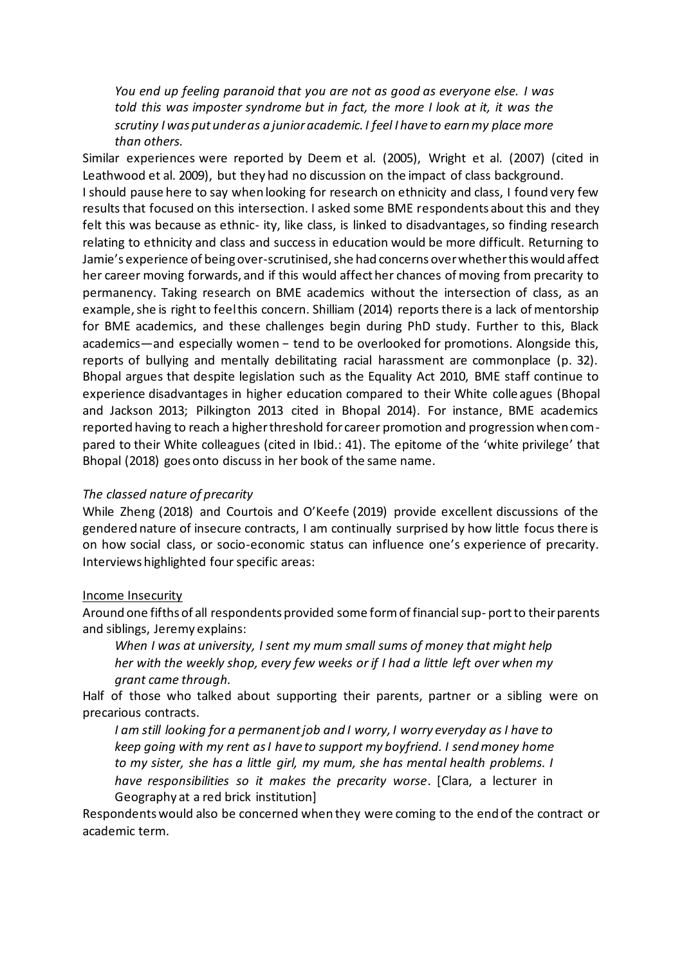*You end up feeling paranoid that you are not as good as everyone else. I was told this was imposter syndrome but in fact, the more I look at it, it was the scrutiny I was put under as a junior academic. I feel I have to earn my place more than others.* 

Similar experiences were reported by Deem et al. (2005), Wright et al. (2007) (cited in Leathwood et al. 2009), but they had no discussion on the impact of class background. I should pause here to say when looking for research on ethnicity and class, I found very few results that focused on this intersection. I asked some BME respondents about this and they felt this was because as ethnic- ity, like class, is linked to disadvantages, so finding research relating to ethnicity and class and success in education would be more difficult. Returning to Jamie's experience of being over-scrutinised, she had concerns over whether this would affect her career moving forwards, and if this would affect her chances of moving from precarity to permanency. Taking research on BME academics without the intersection of class, as an example, she is right to feel this concern. Shilliam (2014) reports there is a lack of mentorship for BME academics, and these challenges begin during PhD study. Further to this, Black academics—and especially women − tend to be overlooked for promotions. Alongside this, reports of bullying and mentally debilitating racial harassment are commonplace (p. 32). Bhopal argues that despite legislation such as the Equality Act 2010, BME staff continue to experience disadvantages in higher education compared to their White colleagues (Bhopal and Jackson 2013; Pilkington 2013 cited in Bhopal 2014). For instance, BME academics reported having to reach a higher threshold for career promotion and progression when compared to their White colleagues (cited in Ibid.: 41). The epitome of the 'white privilege' that Bhopal (2018) goes onto discuss in her book of the same name.

### *The classed nature of precarity*

While Zheng (2018) and Courtois and O'Keefe (2019) provide excellent discussions of the gendered nature of insecure contracts, I am continually surprised by how little focus there is on how social class, or socio-economic status can influence one's experience of precarity. Interviews highlighted four specific areas:

### Income Insecurity

Around one fifths of all respondents provided some form of financial sup- port to their parents and siblings, Jeremy explains:

*When I was at university, I sent my mum small sums of money that might help her with the weekly shop, every few weeks or if I had a little left over when my grant came through.* 

Half of those who talked about supporting their parents, partner or a sibling were on precarious contracts.

*I am still looking for a permanent job and I worry, I worry everyday as I have to keep going with my rent as I have to support my boyfriend. I send money home to my sister, she has a little girl, my mum, she has mental health problems. I have responsibilities so it makes the precarity worse*. [Clara, a lecturer in Geography at a red brick institution]

Respondents would also be concerned when they were coming to the end of the contract or academic term.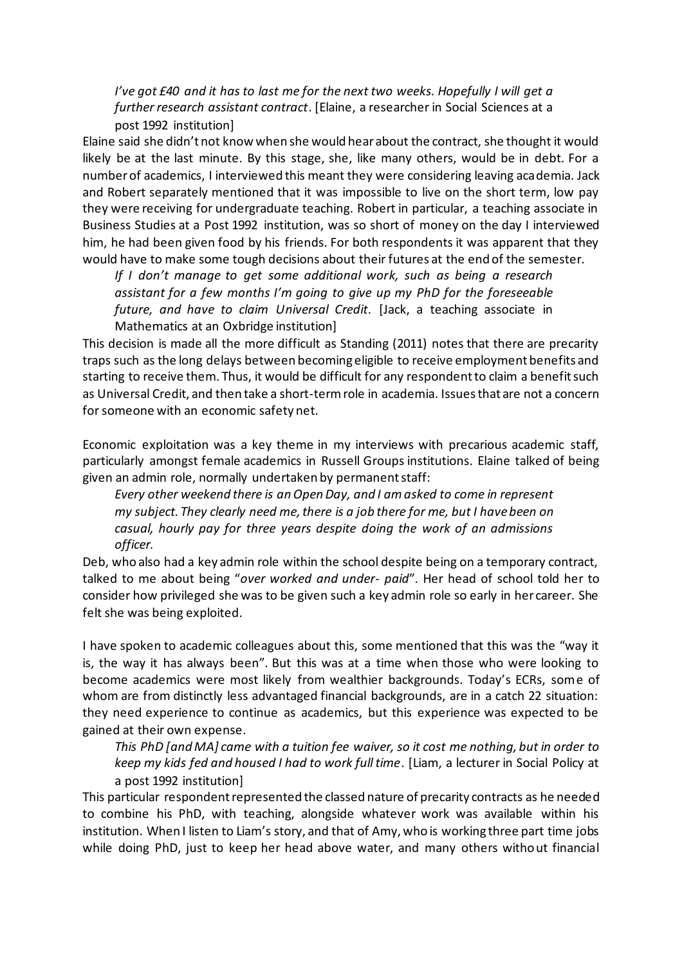*I've got £40 and it has to last me for the next two weeks. Hopefully I will get a further research assistant contract*. [Elaine, a researcher in Social Sciences at a post 1992 institution]

Elaine said she didn't not know when she would hear about the contract, she thought it would likely be at the last minute. By this stage, she, like many others, would be in debt. For a number of academics, I interviewed this meant they were considering leaving academia. Jack and Robert separately mentioned that it was impossible to live on the short term, low pay they were receiving for undergraduate teaching. Robert in particular, a teaching associate in Business Studies at a Post 1992 institution, was so short of money on the day I interviewed him, he had been given food by his friends. For both respondents it was apparent that they would have to make some tough decisions about their futures at the end of the semester.

*If I don't manage to get some additional work, such as being a research assistant for a few months I'm going to give up my PhD for the foreseeable future, and have to claim Universal Credit*. [Jack, a teaching associate in Mathematics at an Oxbridge institution]

This decision is made all the more difficult as Standing (2011) notes that there are precarity traps such as the long delays between becoming eligible to receive employment benefits and starting to receive them. Thus, it would be difficult for any respondent to claim a benefit such as Universal Credit, and then take a short-term role in academia. Issues that are not a concern for someone with an economic safety net.

Economic exploitation was a key theme in my interviews with precarious academic staff, particularly amongst female academics in Russell Groups institutions. Elaine talked of being given an admin role, normally undertaken by permanent staff:

*Every other weekend there is an Open Day, and I am asked to come in represent my subject. They clearly need me, there is a job there for me, but I have been on casual, hourly pay for three years despite doing the work of an admissions officer.* 

Deb, who also had a key admin role within the school despite being on a temporary contract, talked to me about being "*over worked and under- paid*". Her head of school told her to consider how privileged she was to be given such a key admin role so early in her career. She felt she was being exploited.

I have spoken to academic colleagues about this, some mentioned that this was the "way it is, the way it has always been". But this was at a time when those who were looking to become academics were most likely from wealthier backgrounds. Today's ECRs, some of whom are from distinctly less advantaged financial backgrounds, are in a catch 22 situation: they need experience to continue as academics, but this experience was expected to be gained at their own expense.

*This PhD [and MA] came with a tuition fee waiver, so it cost me nothing, but in order to keep my kids fed and housed I had to work full time*. [Liam, a lecturer in Social Policy at a post 1992 institution]

This particular respondent represented the classed nature of precarity contracts as he needed to combine his PhD, with teaching, alongside whatever work was available within his institution. When I listen to Liam's story, and that of Amy, who is working three part time jobs while doing PhD, just to keep her head above water, and many others without financial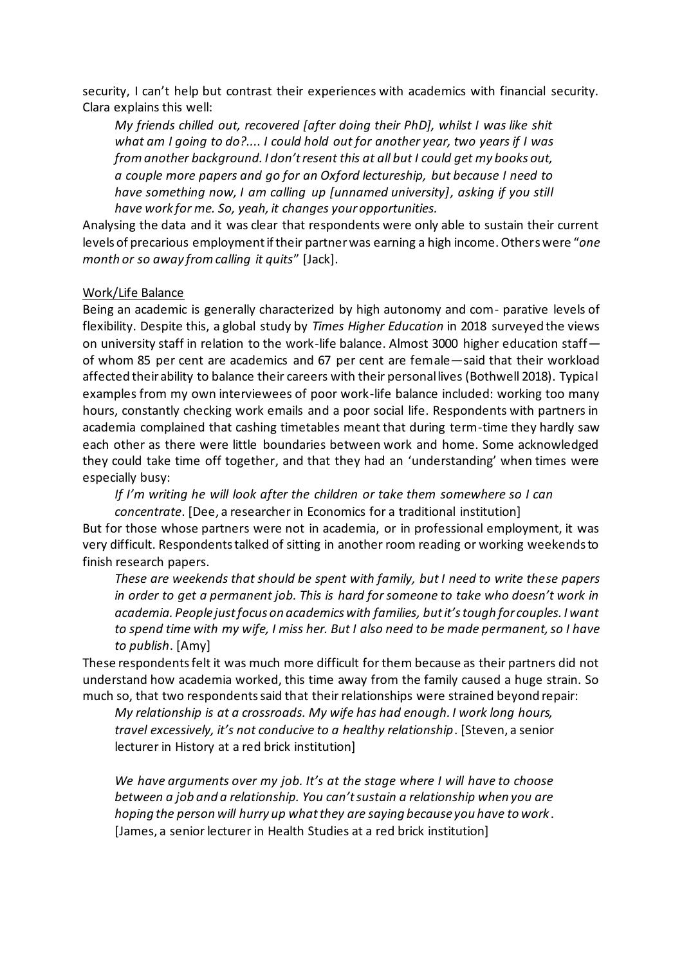security, I can't help but contrast their experiences with academics with financial security. Clara explains this well:

*My friends chilled out, recovered [after doing their PhD], whilst I was like shit what am I going to do?.... I could hold out for another year, two years if I was from another background. I don't resent this at all but I could get my books out, a couple more papers and go for an Oxford lectureship, but because I need to have something now, I am calling up [unnamed university], asking if you still have work for me. So, yeah, it changes your opportunities.* 

Analysing the data and it was clear that respondents were only able to sustain their current levels of precarious employment if their partner was earning a high income. Others were "*one month or so away from calling it quits*" [Jack].

#### Work/Life Balance

Being an academic is generally characterized by high autonomy and com- parative levels of flexibility. Despite this, a global study by *Times Higher Education* in 2018 surveyed the views on university staff in relation to the work-life balance. Almost 3000 higher education staff of whom 85 per cent are academics and 67 per cent are female—said that their workload affected their ability to balance their careers with their personal lives (Bothwell 2018). Typical examples from my own interviewees of poor work-life balance included: working too many hours, constantly checking work emails and a poor social life. Respondents with partners in academia complained that cashing timetables meant that during term-time they hardly saw each other as there were little boundaries between work and home. Some acknowledged they could take time off together, and that they had an 'understanding' when times were especially busy:

*If I'm writing he will look after the children or take them somewhere so I can concentrate*. [Dee, a researcher in Economics for a traditional institution]

But for those whose partners were not in academia, or in professional employment, it was very difficult. Respondents talked of sitting in another room reading or working weekends to finish research papers.

*These are weekends that should be spent with family, but I need to write these papers in order to get a permanent job. This is hard for someone to take who doesn't work in academia. People just focus on academics with families, but it's tough for couples. I want to spend time with my wife, I miss her. But I also need to be made permanent, so I have to publish*. [Amy]

These respondents felt it was much more difficult for them because as their partners did not understand how academia worked, this time away from the family caused a huge strain. So much so, that two respondents said that their relationships were strained beyond repair:

*My relationship is at a crossroads. My wife has had enough. I work long hours, travel excessively, it's not conducive to a healthy relationship*. [Steven, a senior lecturer in History at a red brick institution]

*We have arguments over my job. It's at the stage where I will have to choose between a job and a relationship. You can't sustain a relationship when you are hoping the person will hurry up what they are saying because you have to work*. [James, a senior lecturer in Health Studies at a red brick institution]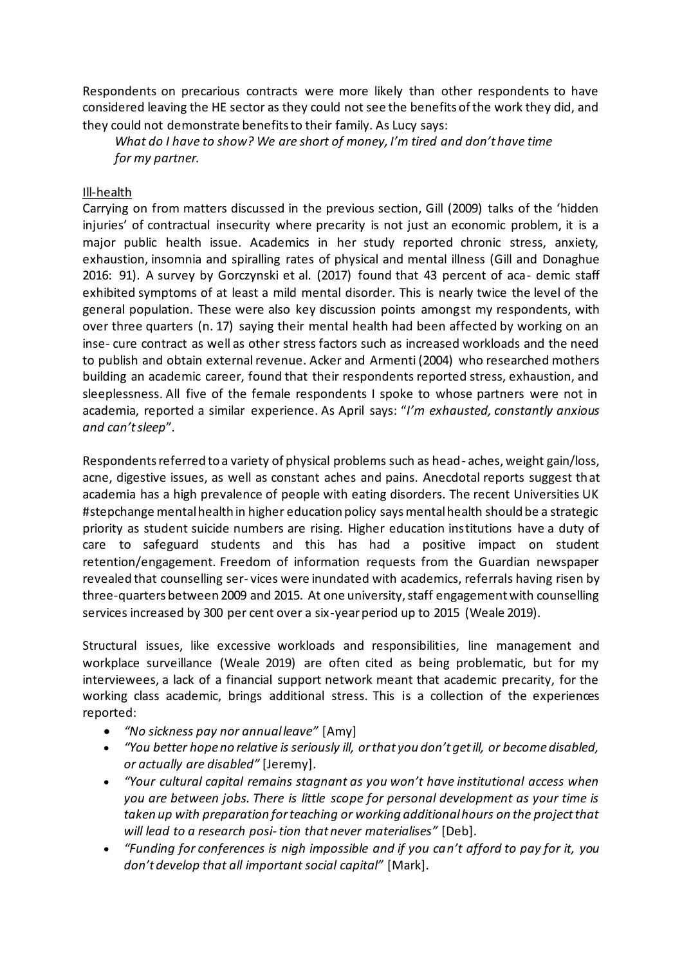Respondents on precarious contracts were more likely than other respondents to have considered leaving the HE sector as they could not see the benefits of the work they did, and they could not demonstrate benefits to their family. As Lucy says:

*What do I have to show? We are short of money, I'm tired and don't have time for my partner.* 

### Ill-health

Carrying on from matters discussed in the previous section, Gill (2009) talks of the 'hidden injuries' of contractual insecurity where precarity is not just an economic problem, it is a major public health issue. Academics in her study reported chronic stress, anxiety, exhaustion, insomnia and spiralling rates of physical and mental illness (Gill and Donaghue 2016: 91). A survey by Gorczynski et al. (2017) found that 43 percent of aca- demic staff exhibited symptoms of at least a mild mental disorder. This is nearly twice the level of the general population. These were also key discussion points amongst my respondents, with over three quarters (n. 17) saying their mental health had been affected by working on an inse- cure contract as well as other stress factors such as increased workloads and the need to publish and obtain external revenue. Acker and Armenti (2004) who researched mothers building an academic career, found that their respondents reported stress, exhaustion, and sleeplessness. All five of the female respondents I spoke to whose partners were not in academia, reported a similar experience. As April says: "*I'm exhausted, constantly anxious and can't sleep*".

Respondents referred to a variety of physical problems such as head- aches, weight gain/loss, acne, digestive issues, as well as constant aches and pains. Anecdotal reports suggest that academia has a high prevalence of people with eating disorders. The recent Universities UK #stepchange mental health in higher education policy says mental health should be a strategic priority as student suicide numbers are rising. Higher education institutions have a duty of care to safeguard students and this has had a positive impact on student retention/engagement. Freedom of information requests from the Guardian newspaper revealed that counselling ser- vices were inundated with academics, referrals having risen by three-quarters between 2009 and 2015. At one university, staff engagement with counselling services increased by 300 per cent over a six-year period up to 2015 (Weale 2019).

Structural issues, like excessive workloads and responsibilities, line management and workplace surveillance (Weale 2019) are often cited as being problematic, but for my interviewees, a lack of a financial support network meant that academic precarity, for the working class academic, brings additional stress. This is a collection of the experiences reported:

- *"No sickness pay nor annual leave"* [Amy]
- *"You better hope no relative is seriously ill, or that you don't get ill, or become disabled, or actually are disabled"* [Jeremy].
- *"Your cultural capital remains stagnant as you won't have institutional access when you are between jobs. There is little scope for personal development as your time is taken up with preparation for teaching or working additional hours on the project that will lead to a research posi-tion that never materialises"* [Deb].
- *"Funding for conferences is nigh impossible and if you can't afford to pay for it, you don't develop that all important social capital"* [Mark].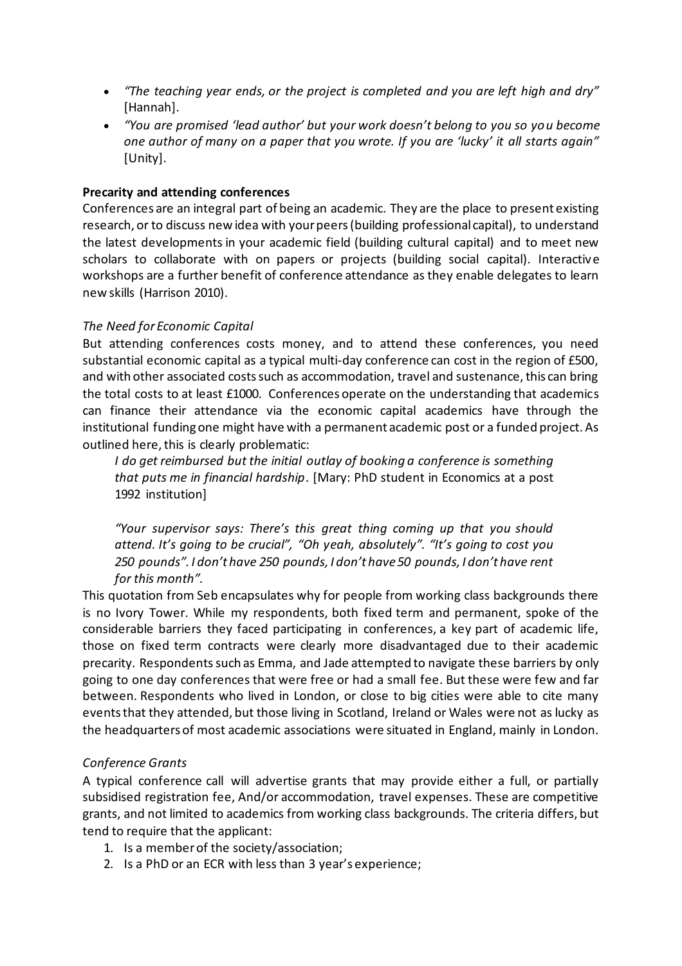- *"The teaching year ends, or the project is completed and you are left high and dry"*  [Hannah].
- *"You are promised 'lead author' but your work doesn't belong to you so you become one author of many on a paper that you wrote. If you are 'lucky' it all starts again"*  [Unity].

### **Precarity and attending conferences**

Conferences are an integral part of being an academic. They are the place to present existing research, or to discuss new idea with your peers (building professional capital), to understand the latest developments in your academic field (building cultural capital) and to meet new scholars to collaborate with on papers or projects (building social capital). Interactive workshops are a further benefit of conference attendance as they enable delegates to learn new skills (Harrison 2010).

# *The Need for Economic Capital*

But attending conferences costs money, and to attend these conferences, you need substantial economic capital as a typical multi-day conference can cost in the region of £500, and with other associated costs such as accommodation, travel and sustenance, this can bring the total costs to at least £1000. Conferences operate on the understanding that academics can finance their attendance via the economic capital academics have through the institutional funding one might have with a permanent academic post or a funded project. As outlined here, this is clearly problematic:

*I do get reimbursed but the initial outlay of booking a conference is something that puts me in financial hardship*. [Mary: PhD student in Economics at a post 1992 institution]

*"Your supervisor says: There's this great thing coming up that you should attend. It's going to be crucial", "Oh yeah, absolutely". "It's going to cost you 250 pounds". I don't have 250 pounds, I don't have 50 pounds, I don't have rent for this month".* 

This quotation from Seb encapsulates why for people from working class backgrounds there is no Ivory Tower. While my respondents, both fixed term and permanent, spoke of the considerable barriers they faced participating in conferences, a key part of academic life, those on fixed term contracts were clearly more disadvantaged due to their academic precarity. Respondents such as Emma, and Jade attempted to navigate these barriers by only going to one day conferences that were free or had a small fee. But these were few and far between. Respondents who lived in London, or close to big cities were able to cite many events that they attended, but those living in Scotland, Ireland or Wales were not as lucky as the headquarters of most academic associations were situated in England, mainly in London.

# *Conference Grants*

A typical conference call will advertise grants that may provide either a full, or partially subsidised registration fee, And/or accommodation, travel expenses. These are competitive grants, and not limited to academics from working class backgrounds. The criteria differs, but tend to require that the applicant:

- 1. Is a member of the society/association;
- 2. Is a PhD or an ECR with less than 3 year's experience;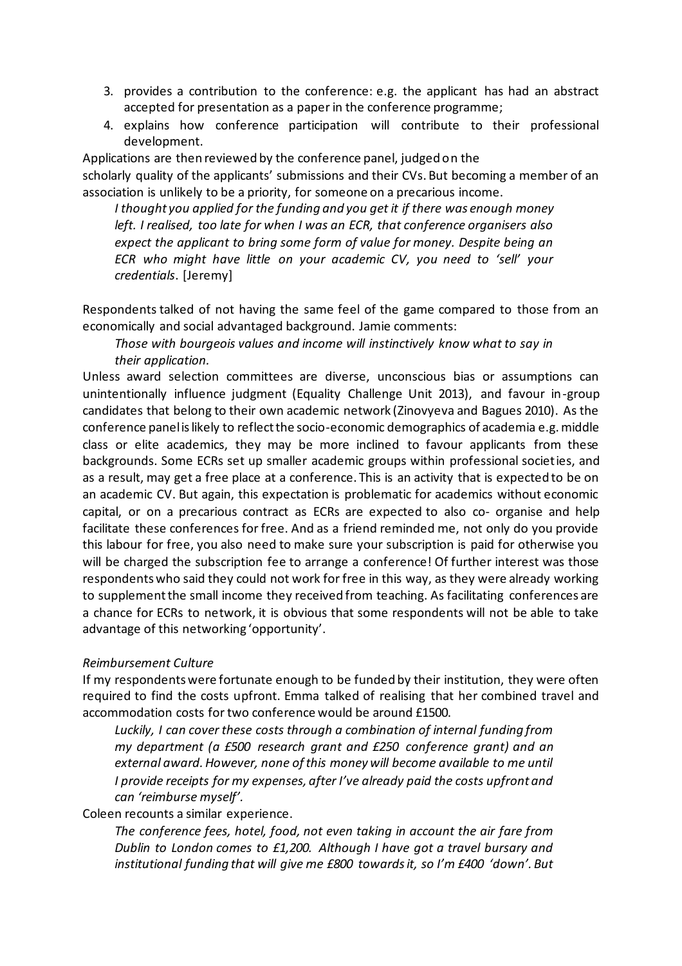- 3. provides a contribution to the conference: e.g. the applicant has had an abstract accepted for presentation as a paper in the conference programme;
- 4. explains how conference participation will contribute to their professional development.

Applications are then reviewed by the conference panel, judged on the scholarly quality of the applicants' submissions and their CVs. But becoming a member of an association is unlikely to be a priority, for someone on a precarious income.

*I thought you applied for the funding and you get it if there was enough money left. I realised, too late for when I was an ECR, that conference organisers also expect the applicant to bring some form of value for money. Despite being an ECR who might have little on your academic CV, you need to 'sell' your credentials*. [Jeremy]

Respondents talked of not having the same feel of the game compared to those from an economically and social advantaged background. Jamie comments:

*Those with bourgeois values and income will instinctively know what to say in their application.* 

Unless award selection committees are diverse, unconscious bias or assumptions can unintentionally influence judgment (Equality Challenge Unit 2013), and favour in-group candidates that belong to their own academic network (Zinovyeva and Bagues 2010). As the conference panel is likely to reflect the socio-economic demographics of academia e.g. middle class or elite academics, they may be more inclined to favour applicants from these backgrounds. Some ECRs set up smaller academic groups within professional societies, and as a result, may get a free place at a conference. This is an activity that is expected to be on an academic CV. But again, this expectation is problematic for academics without economic capital, or on a precarious contract as ECRs are expected to also co- organise and help facilitate these conferences for free. And as a friend reminded me, not only do you provide this labour for free, you also need to make sure your subscription is paid for otherwise you will be charged the subscription fee to arrange a conference! Of further interest was those respondents who said they could not work for free in this way, as they were already working to supplement the small income they received from teaching. As facilitating conferences are a chance for ECRs to network, it is obvious that some respondents will not be able to take advantage of this networking 'opportunity'.

### *Reimbursement Culture*

If my respondents were fortunate enough to be funded by their institution, they were often required to find the costs upfront. Emma talked of realising that her combined travel and accommodation costs for two conference would be around £1500.

*Luckily, I can cover these costs through a combination of internal funding from my department (a £500 research grant and £250 conference grant) and an external award. However, none of this money will become available to me until I provide receipts for my expenses, after I've already paid the costs upfront and can 'reimburse myself'.* 

Coleen recounts a similar experience.

*The conference fees, hotel, food, not even taking in account the air fare from Dublin to London comes to £1,200. Although I have got a travel bursary and institutional funding that will give me £800 towards it, so I'm £400 'down'. But*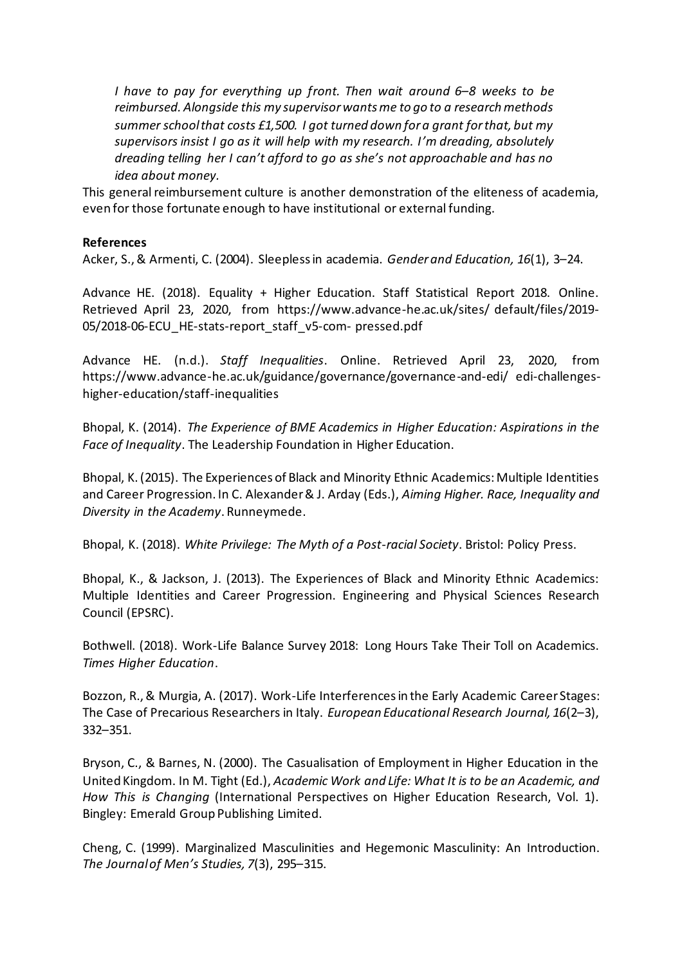*I have to pay for everything up front. Then wait around 6–8 weeks to be reimbursed. Alongside this my supervisor wants me to go to a research methods summer school that costs £1,500. I got turned down for a grant for that, but my supervisors insist I go as it will help with my research. I'm dreading, absolutely dreading telling her I can't afford to go as she's not approachable and has no idea about money.* 

This general reimbursement culture is another demonstration of the eliteness of academia, even for those fortunate enough to have institutional or external funding.

### **References**

Acker, S., & Armenti, C. (2004). Sleepless in academia. *Gender and Education, 16*(1), 3–24.

Advance HE. (2018). Equality + Higher Education. Staff Statistical Report 2018. Online. Retrieved April 23, 2020, from https://www.advance-he.ac.uk/sites/ default/files/2019- 05/2018-06-ECU\_HE-stats-report\_staff\_v5-com- pressed.pdf

Advance HE. (n.d.). *Staff Inequalities*. Online. Retrieved April 23, 2020, from https://www.advance-he.ac.uk/guidance/governance/governance-and-edi/ edi-challengeshigher-education/staff-inequalities

Bhopal, K. (2014). *The Experience of BME Academics in Higher Education: Aspirations in the Face of Inequality*. The Leadership Foundation in Higher Education.

Bhopal, K. (2015). The Experiences of Black and Minority Ethnic Academics: Multiple Identities and Career Progression. In C. Alexander & J. Arday (Eds.), *Aiming Higher. Race, Inequality and Diversity in the Academy*. Runneymede.

Bhopal, K. (2018). *White Privilege: The Myth of a Post-racial Society*. Bristol: Policy Press.

Bhopal, K., & Jackson, J. (2013). The Experiences of Black and Minority Ethnic Academics: Multiple Identities and Career Progression. Engineering and Physical Sciences Research Council (EPSRC).

Bothwell. (2018). Work-Life Balance Survey 2018: Long Hours Take Their Toll on Academics. *Times Higher Education*.

Bozzon, R., & Murgia, A. (2017). Work-Life Interferences in the Early Academic Career Stages: The Case of Precarious Researchers in Italy. *European Educational Research Journal, 16*(2–3), 332–351.

Bryson, C., & Barnes, N. (2000). The Casualisation of Employment in Higher Education in the United Kingdom. In M. Tight (Ed.), *Academic Work and Life: What It is to be an Academic, and How This is Changing* (International Perspectives on Higher Education Research, Vol. 1). Bingley: Emerald Group Publishing Limited.

Cheng, C. (1999). Marginalized Masculinities and Hegemonic Masculinity: An Introduction. *The Journal of Men's Studies, 7*(3), 295–315.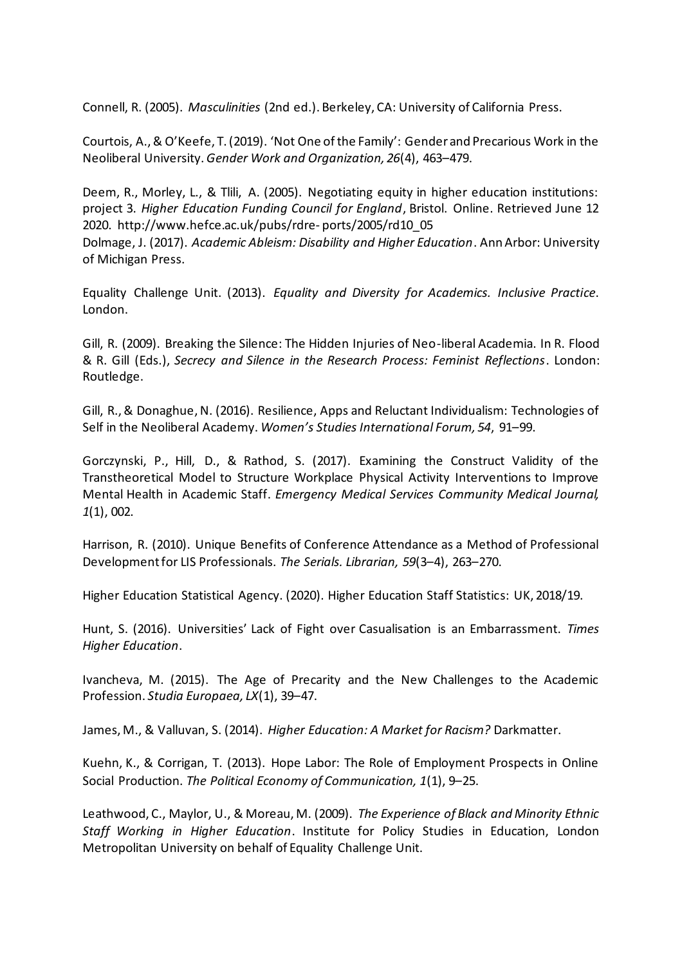Connell, R. (2005). *Masculinities* (2nd ed.). Berkeley, CA: University of California Press.

Courtois, A., & O'Keefe, T. (2019). 'Not One of the Family': Gender and Precarious Work in the Neoliberal University. *Gender Work and Organization, 26*(4), 463–479.

Deem, R., Morley, L., & Tlili, A. (2005). Negotiating equity in higher education institutions: project 3. *Higher Education Funding Council for England*, Bristol. Online. Retrieved June 12 2020. http://www.hefce.ac.uk/pubs/rdre- ports/2005/rd10\_05

Dolmage, J. (2017). *Academic Ableism: Disability and Higher Education*. Ann Arbor: University of Michigan Press.

Equality Challenge Unit. (2013). *Equality and Diversity for Academics. Inclusive Practice*. London.

Gill, R. (2009). Breaking the Silence: The Hidden Injuries of Neo-liberal Academia. In R. Flood & R. Gill (Eds.), *Secrecy and Silence in the Research Process: Feminist Reflections*. London: Routledge.

Gill, R., & Donaghue, N. (2016). Resilience, Apps and Reluctant Individualism: Technologies of Self in the Neoliberal Academy. *Women's Studies International Forum, 54*, 91–99.

Gorczynski, P., Hill, D., & Rathod, S. (2017). Examining the Construct Validity of the Transtheoretical Model to Structure Workplace Physical Activity Interventions to Improve Mental Health in Academic Staff. *Emergency Medical Services Community Medical Journal, 1*(1), 002.

Harrison, R. (2010). Unique Benefits of Conference Attendance as a Method of Professional Development for LIS Professionals. *The Serials. Librarian, 59*(3–4), 263–270.

Higher Education Statistical Agency. (2020). Higher Education Staff Statistics: UK, 2018/19.

Hunt, S. (2016). Universities' Lack of Fight over Casualisation is an Embarrassment. *Times Higher Education*.

Ivancheva, M. (2015). The Age of Precarity and the New Challenges to the Academic Profession. *Studia Europaea, LX*(1), 39–47.

James, M., & Valluvan, S. (2014). *Higher Education: A Market for Racism?* Darkmatter.

Kuehn, K., & Corrigan, T. (2013). Hope Labor: The Role of Employment Prospects in Online Social Production. *The Political Economy of Communication, 1*(1), 9–25.

Leathwood, C., Maylor, U., & Moreau, M. (2009). *The Experience of Black and Minority Ethnic Staff Working in Higher Education*. Institute for Policy Studies in Education, London Metropolitan University on behalf of Equality Challenge Unit.